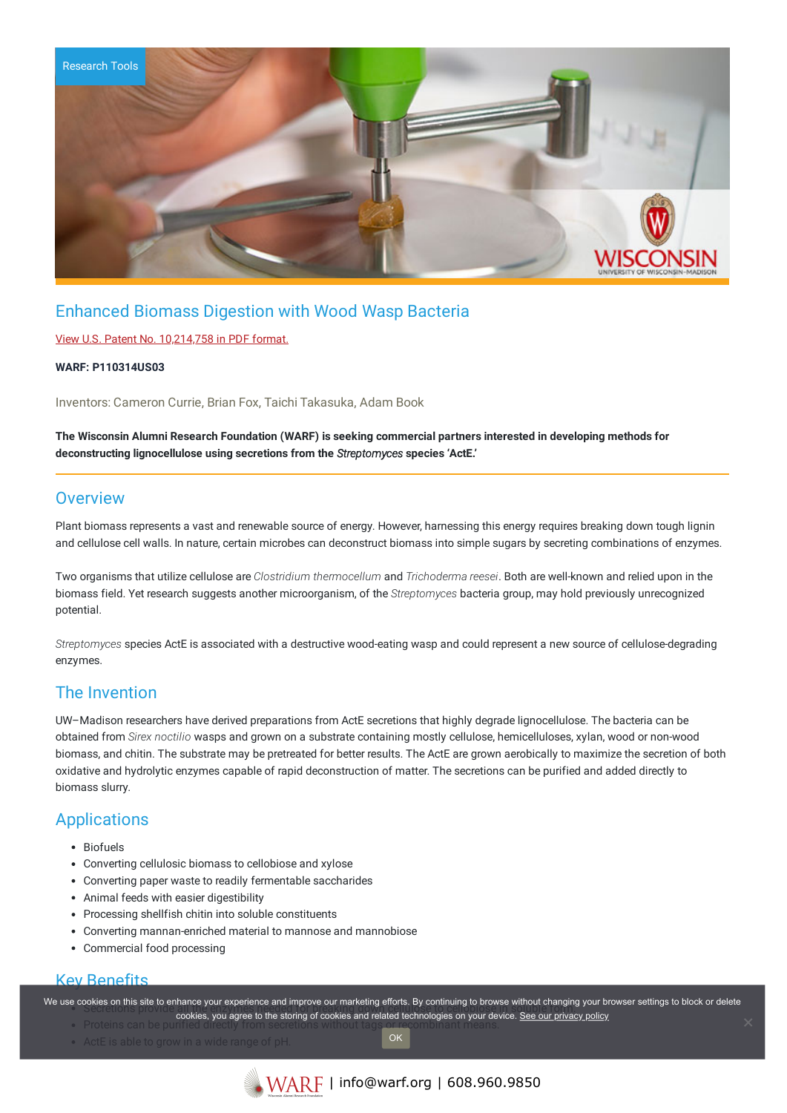

# Enhanced Biomass Digestion with Wood Wasp Bacteria

### View U.S. Patent No. [10,214,758](https://www.warf.org/wp-content/uploads/technologies/ipstatus/P110314US03.pdf) in PDF format.

### **WARF: P110314US03**

Inventors: Cameron Currie, Brian Fox, Taichi Takasuka, Adam Book

**The Wisconsin Alumni Research Foundation (WARF) is seeking commercial partners interested in developing methods for deconstructing lignocellulose using secretions from the** *Streptomyces* **species 'ActE.'**

## **Overview**

Plant biomass represents a vast and renewable source of energy. However, harnessing this energy requires breaking down tough lignin and cellulose cell walls. In nature, certain microbes can deconstruct biomass into simple sugars by secreting combinations of enzymes.

Two organisms that utilize cellulose are *Clostridium thermocellum* and *Trichoderma reesei*. Both are well-known and relied upon in the biomass field. Yet research suggests another microorganism, of the *Streptomyces* bacteria group, may hold previously unrecognized potential.

*Streptomyces* species ActE is associated with a destructive wood-eating wasp and could represent a new source of cellulose-degrading enzymes.

## The Invention

UW–Madison researchers have derived preparations from ActE secretions that highly degrade lignocellulose. The bacteria can be obtained from *Sirex noctilio* wasps and grown on a substrate containing mostly cellulose, hemicelluloses, xylan, wood or non-wood biomass, and chitin. The substrate may be pretreated for better results. The ActE are grown aerobically to maximize the secretion of both oxidative and hydrolytic enzymes capable of rapid deconstruction of matter. The secretions can be purified and added directly to biomass slurry.

# Applications

- Biofuels
- Converting cellulosic biomass to cellobiose and xylose
- Converting paper waste to readily fermentable saccharides
- Animal feeds with easier digestibility
- Processing shellfish chitin into soluble constituents
- Converting mannan-enriched material to mannose and mannobiose
- Commercial food processing

### Key Benefits

We use cookies on this site to enhance your experience and improve our marketing efforts. By continuing to browse without changing your browser settings to block or delete

OK

- ownes on this site to enhance your experience and improve our maneurity enore. By continuing to browse without changing your browse in the storing of cookies and related technologies on your device. <u>See our privacy policy</u> • Proteins can be pur
- ActE is able to grow in a wide range of pH